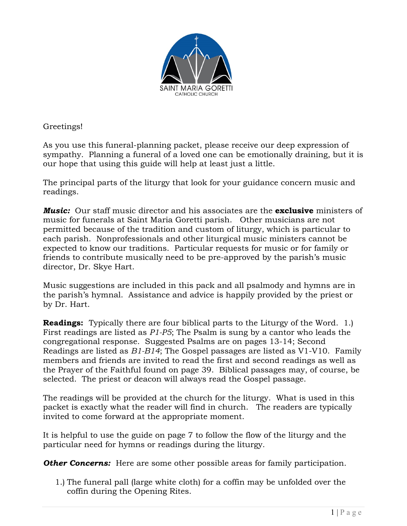

Greetings!

As you use this funeral-planning packet, please receive our deep expression of sympathy. Planning a funeral of a loved one can be emotionally draining, but it is our hope that using this guide will help at least just a little.

The principal parts of the liturgy that look for your guidance concern music and readings.

*Music:* Our staff music director and his associates are the **exclusive** ministers of music for funerals at Saint Maria Goretti parish. Other musicians are not permitted because of the tradition and custom of liturgy, which is particular to each parish. Nonprofessionals and other liturgical music ministers cannot be expected to know our traditions. Particular requests for music or for family or friends to contribute musically need to be pre-approved by the parish's music director, Dr. Skye Hart.

Music suggestions are included in this pack and all psalmody and hymns are in the parish's hymnal. Assistance and advice is happily provided by the priest or by Dr. Hart.

**Readings:** Typically there are four biblical parts to the Liturgy of the Word. 1.) First readings are listed as *P1-P5*; The Psalm is sung by a cantor who leads the congregational response. Suggested Psalms are on pages 13-14; Second Readings are listed as *B1-B14*; The Gospel passages are listed as V1-V10. Family members and friends are invited to read the first and second readings as well as the Prayer of the Faithful found on page 39. Biblical passages may, of course, be selected. The priest or deacon will always read the Gospel passage.

The readings will be provided at the church for the liturgy. What is used in this packet is exactly what the reader will find in church. The readers are typically invited to come forward at the appropriate moment.

It is helpful to use the guide on page 7 to follow the flow of the liturgy and the particular need for hymns or readings during the liturgy.

**Other Concerns:** Here are some other possible areas for family participation.

1.) The funeral pall (large white cloth) for a coffin may be unfolded over the coffin during the Opening Rites.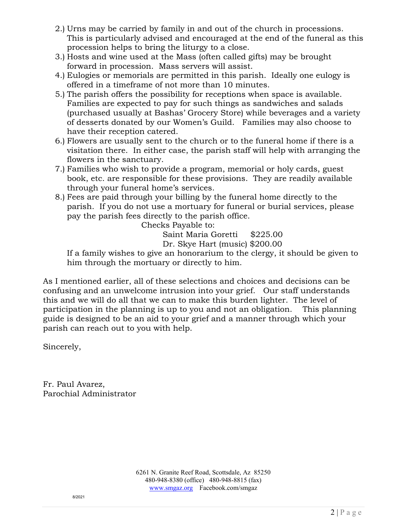- 2.) Urns may be carried by family in and out of the church in processions. This is particularly advised and encouraged at the end of the funeral as this procession helps to bring the liturgy to a close.
- 3.) Hosts and wine used at the Mass (often called gifts) may be brought forward in procession. Mass servers will assist.
- 4.) Eulogies or memorials are permitted in this parish. Ideally one eulogy is offered in a timeframe of not more than 10 minutes.
- 5.) The parish offers the possibility for receptions when space is available. Families are expected to pay for such things as sandwiches and salads (purchased usually at Bashas' Grocery Store) while beverages and a variety of desserts donated by our Women's Guild. Families may also choose to have their reception catered.
- 6.) Flowers are usually sent to the church or to the funeral home if there is a visitation there. In either case, the parish staff will help with arranging the flowers in the sanctuary.
- 7.) Families who wish to provide a program, memorial or holy cards, guest book, etc. are responsible for these provisions. They are readily available through your funeral home's services.
- 8.) Fees are paid through your billing by the funeral home directly to the parish. If you do not use a mortuary for funeral or burial services, please pay the parish fees directly to the parish office.

Checks Payable to:

Saint Maria Goretti \$225.00

Dr. Skye Hart (music) \$200.00

If a family wishes to give an honorarium to the clergy, it should be given to him through the mortuary or directly to him.

As I mentioned earlier, all of these selections and choices and decisions can be confusing and an unwelcome intrusion into your grief. Our staff understands this and we will do all that we can to make this burden lighter. The level of participation in the planning is up to you and not an obligation. This planning guide is designed to be an aid to your grief and a manner through which your parish can reach out to you with help.

Sincerely,

Fr. Paul Avarez, Parochial Administrator

> 6261 N. Granite Reef Road, Scottsdale, Az 85250 480-948-8380 (office) 480-948-8815 (fax) [www.smgaz.org](http://www.smgaz.org/) Facebook.com/smgaz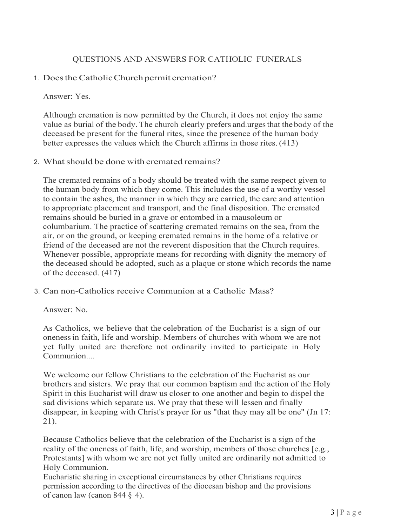### QUESTIONS AND ANSWERS FOR CATHOLIC FUNERALS

### 1. Doesthe CatholicChurch permit cremation?

Answer: Yes.

Although cremation is now permitted by the Church, it does not enjoy the same value as burial of the body. The church clearly prefers and urges that the body of the deceased be present for the funeral rites, since the presence of the human body better expresses the values which the Church affirms in those rites. (413)

### 2. What should be done with cremated remains?

The cremated remains of a body should be treated with the same respect given to the human body from which they come. This includes the use of a worthy vessel to contain the ashes, the manner in which they are carried, the care and attention to appropriate placement and transport, and the final disposition. The cremated remains should be buried in a grave or entombed in a mausoleum or columbarium. The practice of scattering cremated remains on the sea, from the air, or on the ground, or keeping cremated remains in the home of a relative or friend of the deceased are not the reverent disposition that the Church requires. Whenever possible, appropriate means for recording with dignity the memory of the deceased should be adopted, such as a plaque or stone which records the name of the deceased. (417)

3. Can non-Catholics receive Communion at a Catholic Mass?

Answer: No.

As Catholics, we believe that the celebration of the Eucharist is a sign of our onenessin faith, life and worship. Members of churches with whom we are not yet fully united are therefore not ordinarily invited to participate in Holy Communion....

We welcome our fellow Christians to the celebration of the Eucharist as our brothers and sisters. We pray that our common baptism and the action of the Holy Spirit in this Eucharist will draw us closer to one another and begin to dispel the sad divisions which separate us. We pray that these will lessen and finally disappear, in keeping with Christ's prayer for us "that they may all be one" (Jn 17: 21).

Because Catholics believe that the celebration of the Eucharist is a sign of the reality of the oneness of faith, life, and worship, members of those churches [e.g., Protestants] with whom we are not yet fully united are ordinarily not admitted to Holy Communion.

Eucharistic sharing in exceptional circumstances by other Christians requires permission according to the directives of the diocesan bishop and the provisions of canon law (canon 844 § 4).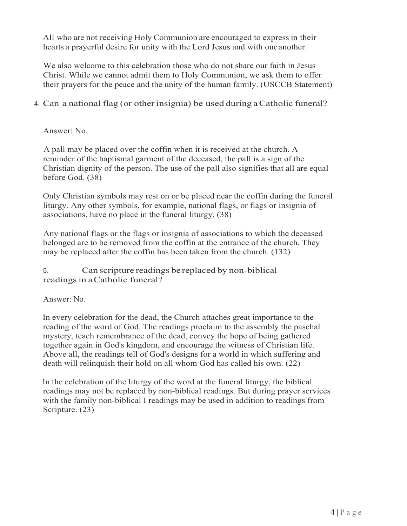All who are not receiving Holy Communion are encouraged to express in their hearts a prayerful desire for unity with the Lord Jesus and with oneanother.

We also welcome to this celebration those who do not share our faith in Jesus Christ. While we cannot admit them to Holy Communion, we ask them to offer their prayers for the peace and the unity of the human family. (USCCB Statement)

### 4. Can a national flag (or other insignia) be used during aCatholic funeral?

### Answer: No.

A pall may be placed over the coffin when it is received at the church. A reminder of the baptismal garment of the deceased, the pall is a sign of the Christian dignity of the person. The use of the pall also signifies that all are equal before God. (38)

Only Christian symbols may rest on or be placed near the coffin during the funeral liturgy. Any other symbols, for example, national flags, or flags or insignia of associations, have no place in the funeral liturgy. (38)

Any national flags or the flags or insignia of associations to which the deceased belonged are to be removed from the coffin at the entrance of the church. They may be replaced after the coffin has been taken from the church. (132)

5. Can scripture readings be replaced by non-biblical readings in a Catholic funeral?

Answer: No.

In every celebration for the dead, the Church attaches great importance to the reading of the word of God. The readings proclaim to the assembly the paschal mystery, teach remembrance of the dead, convey the hope of being gathered together again in God's kingdom, and encourage the witness of Christian life. Above all, the readings tell of God's designs for a world in which suffering and death will relinquish their hold on all whom God has called his own. (22)

In the celebration of the liturgy of the word at the funeral liturgy, the biblical readings may not be replaced by non-biblical readings. But during prayer services with the family non-biblical I readings may be used in addition to readings from Scripture. (23)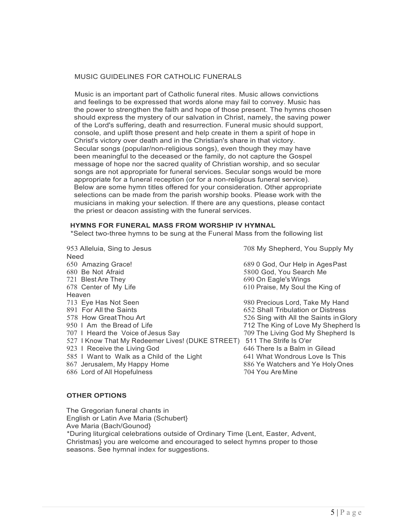### MUSIC GUIDELINES FOR CATHOLIC FUNERALS

Music is an important part of Catholic funeral rites. Music allows convictions and feelings to be expressed that words alone may fail to convey. Music has the power to strengthen the faith and hope of those present. The hymns chosen should express the mystery of our salvation in Christ, namely, the saving power of the Lord's suffering, death and resurrection. Funeral music should support, console, and uplift those present and help create in them a spirit of hope in Christ's victory over death and in the Christian's share in that victory. Secular songs (popular/non-religious songs), even though they may have been meaningful to the deceased or the family, do not capture the Gospel message of hope nor the sacred quality of Christian worship, and so secular songs are not appropriate for funeral services. Secular songs would be more appropriate for a funeral reception (or for a non-religious funeral service). Below are some hymn titles offered for your consideration. Other appropriate selections can be made from the parish worship books. Please work with the musicians in making your selection. If there are any questions, please contact the priest or deacon assisting with the funeral services.

### **HYMNS FOR FUNERAL MASS FROM WORSHIP IV HYMNAL**

\*Select two-three hymns to be sung at the Funeral Mass from the following list

953 Alleluia, Sing to Jesus 708 My Shepherd, You Supply My Need 650 Amazing Grace! 689 0 God, Our Help in AgesPast 680 Be Not Afraid 680 Be Not Afraid 5800 God, You Search Me<br>
5800 God, You Search Me<br>
690 On Eagle's Wings 678 Center of My Life 610 Praise, My Soul the King of Heaven 713 Eye Has Not Seen 980 Precious Lord, Take My Hand 891 For All the Saints 652 Shall Tribulation or Distress<br>1988 How Great Thou Art 652 Sing with All the Saints in Gl 578 How GreatThou Art 526 Sing with All the Saints inGlory 707 I Heard the Voice of Jesus Say 527 I Know That My Redeemer Lives! (DUKE STREET) 511 The Strife Is O'er<br>923 I Receive the Living God 646 There Is a Balm in Gilead 923 I Receive the Living God 585 I Want to Walk as a Child of the Light 641 What Wondrous Love Is This 867 Jerusalem, My Happy Home 886 Ye Watchers and Ye HolyOnes 686 Lord of All Hopefulness 704 You Are Mine

690 On Eagle's Wings

712 The King of Love My Shepherd Is<br>709 The Living God My Shepherd Is

### **OTHER OPTIONS**

The Gregorian funeral chants in English or Latin Ave Maria (Schubert} Ave Maria (Bach/Gounod} \*During liturgical celebrations outside of Ordinary Time {Lent, Easter, Advent, Christmas} you are welcome and encouraged to select hymns proper to those seasons. See hymnal index for suggestions.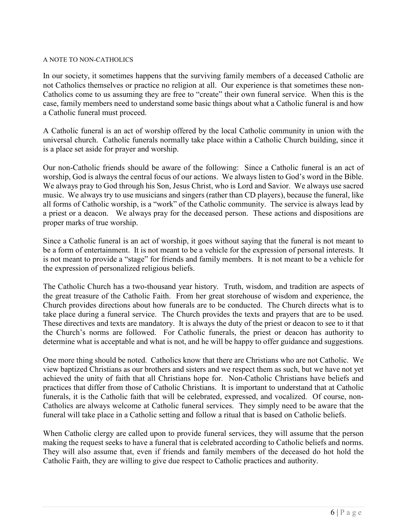### A NOTE TO NON-CATHOLICS

In our society, it sometimes happens that the surviving family members of a deceased Catholic are not Catholics themselves or practice no religion at all. Our experience is that sometimes these non-Catholics come to us assuming they are free to "create" their own funeral service. When this is the case, family members need to understand some basic things about what a Catholic funeral is and how a Catholic funeral must proceed.

A Catholic funeral is an act of worship offered by the local Catholic community in union with the universal church. Catholic funerals normally take place within a Catholic Church building, since it is a place set aside for prayer and worship.

Our non-Catholic friends should be aware of the following: Since a Catholic funeral is an act of worship, God is always the central focus of our actions. We always listen to God's word in the Bible. We always pray to God through his Son, Jesus Christ, who is Lord and Savior. We always use sacred music. We always try to use musicians and singers (rather than CD players), because the funeral, like all forms of Catholic worship, is a "work" of the Catholic community. The service is always lead by a priest or a deacon. We always pray for the deceased person. These actions and dispositions are proper marks of true worship.

Since a Catholic funeral is an act of worship, it goes without saying that the funeral is not meant to be a form of entertainment. It is not meant to be a vehicle for the expression of personal interests. It is not meant to provide a "stage" for friends and family members. It is not meant to be a vehicle for the expression of personalized religious beliefs.

The Catholic Church has a two-thousand year history. Truth, wisdom, and tradition are aspects of the great treasure of the Catholic Faith. From her great storehouse of wisdom and experience, the Church provides directions about how funerals are to be conducted. The Church directs what is to take place during a funeral service. The Church provides the texts and prayers that are to be used. These directives and texts are mandatory. It is always the duty of the priest or deacon to see to it that the Church's norms are followed. For Catholic funerals, the priest or deacon has authority to determine what is acceptable and what is not, and he will be happy to offer guidance and suggestions.

One more thing should be noted. Catholics know that there are Christians who are not Catholic. We view baptized Christians as our brothers and sisters and we respect them as such, but we have not yet achieved the unity of faith that all Christians hope for. Non-Catholic Christians have beliefs and practices that differ from those of Catholic Christians. It is important to understand that at Catholic funerals, it is the Catholic faith that will be celebrated, expressed, and vocalized. Of course, non-Catholics are always welcome at Catholic funeral services. They simply need to be aware that the funeral will take place in a Catholic setting and follow a ritual that is based on Catholic beliefs.

When Catholic clergy are called upon to provide funeral services, they will assume that the person making the request seeks to have a funeral that is celebrated according to Catholic beliefs and norms. They will also assume that, even if friends and family members of the deceased do hot hold the Catholic Faith, they are willing to give due respect to Catholic practices and authority.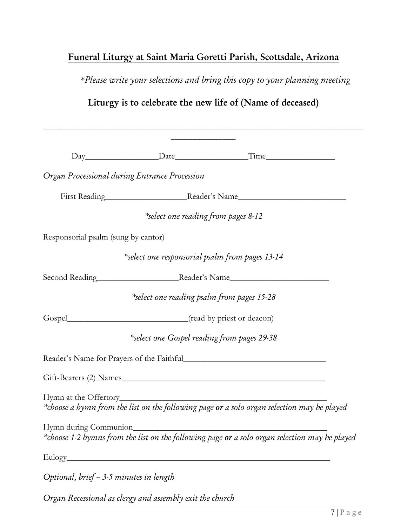### Funeral Liturgy at Saint Maria Goretti Parish, Scottsdale, Arizona

\**Please write your selections and bring this copy to your planning meeting*

### Liturgy is to celebrate the new life of (Name of deceased)

|                                               |                                             | Day Date Time                                                                                                                 |
|-----------------------------------------------|---------------------------------------------|-------------------------------------------------------------------------------------------------------------------------------|
| Organ Processional during Entrance Procession |                                             |                                                                                                                               |
|                                               |                                             | First Reading Reader's Name                                                                                                   |
|                                               | *select one reading from pages 8-12         |                                                                                                                               |
| Responsorial psalm (sung by cantor)           |                                             |                                                                                                                               |
|                                               |                                             | select one responsorial psalm from pages 13-14*                                                                               |
|                                               |                                             | Second Reading Reader's Name                                                                                                  |
|                                               | select one reading psalm from pages 15-28*  |                                                                                                                               |
|                                               |                                             |                                                                                                                               |
|                                               | *select one Gospel reading from pages 29-38 |                                                                                                                               |
|                                               |                                             |                                                                                                                               |
|                                               |                                             | Gift-Bearers (2) Names                                                                                                        |
| Hymn at the Offertory_                        |                                             | *choose a hymn from the list on the following page or a solo organ selection may be played                                    |
|                                               |                                             | Hymn during Communion<br>*choose 1-2 hymns from the list on the following page <b>or</b> a solo organ selection may be played |
| $\text{Eulogy}$                               |                                             |                                                                                                                               |
| Optional, brief - 3-5 minutes in length       |                                             |                                                                                                                               |

*Organ Recessional as clergy and assembly exit the church*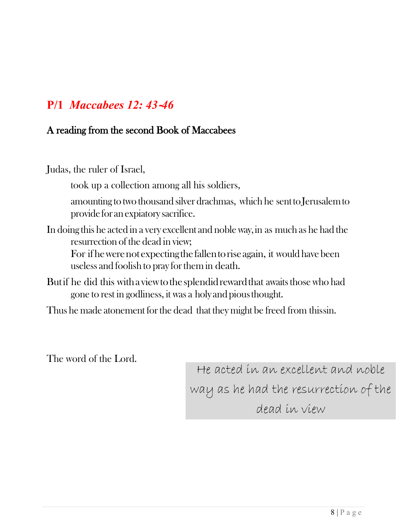## **P/1** *Maccabees 12: 43*‐*46*

### A reading from the second Book of Maccabees

Judas, the ruler of Israel,

took up a collection among all his soldiers,

amounting to two thousand silver drachmas, which he senttoJerusalemto provide for an expiatory sacrifice.

In doing this he acted in a very excellent and noble way, in as much as he had the resurrection of the dead in view;

For ifhewerenotexpectingthefallentoriseagain, it would have been useless and foolish to pray for them in death.

- But if he did this with a view to the splendid reward that awaits those who had gone to rest in godliness, it was a holy andpiousthought.
- Thus he made atonement for the dead that they might be freed from thissin.

The word of the Lord.

He acted in an excellent and noble way as he had the resurrection of the dead in view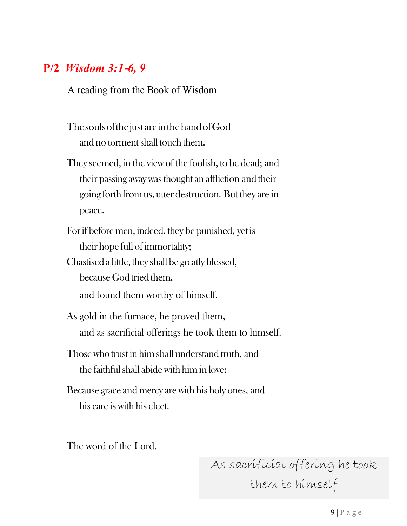## **P/2** *Wisdom 3:1*‐*6, 9*

A reading from the Book of Wisdom

- ThesoulsofthejustareinthehandofGod and no torment shall touch them.
- They seemed, in the view of the foolish, to be dead; and their passing awaywasthought an affliction and their going forth from us, utter destruction. But they are in peace.
- Forif before men, indeed, they be punished, yet is their hope full of immortality;
- Chastised a little, they shall be greatly blessed, because God tried them, and found them worthy of himself.
- As gold in the furnace, he proved them, and as sacrificial offerings he took them to himself.
- Thosewho trust in him shall understand truth, and the faithful shall abide with him in love:
- Because grace and mercy are with his holy ones, and his care is with his elect.

The word of the Lord.

As sacrificial offering he took them to himself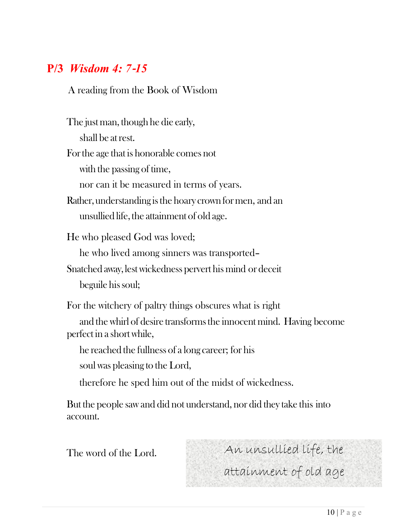## **P/3** *Wisdom 4: 7*‐*15*

A reading from the Book of Wisdom

The just man, though he die early, shall be atrest. Forthe age that is honorable comes not with the passing of time, nor can it be measured in terms of years. Rather, understanding is the hoary crown for men, and an unsullied life, the attainment of old age. He who pleased God was loved; he who lived among sinners was transported– Snatched away, lest wickedness pervert his mind or deceit beguile hissoul;

For the witchery of paltry things obscures what is right and the whirl of desire transforms the innocent mind. Having become perfect in a short while,

he reached the fullness of a long career; for his

soul was pleasing to the Lord,

therefore he sped him out of the midst of wickedness.

But the people saw and did not understand, nor did they take this into account.

The word of the Lord. An unsullied life, the attainment of old age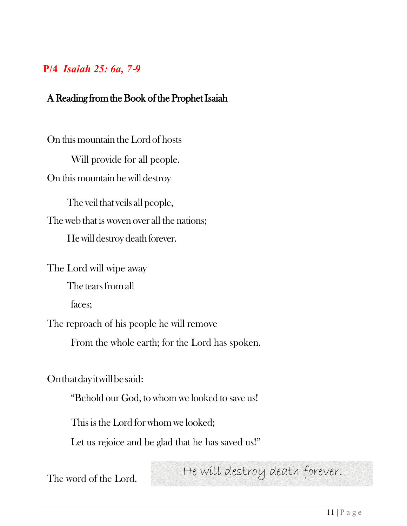### **P/4** *Isaiah 25: 6a, 7*‐*9*

### A Reading from the Book of the Prophet Isaiah

On this mountain the Lord of hosts Will provide for all people. On this mountain he will destroy The veil that veils all people,

The web that is woven over all the nations; Hewill destroy death forever.

The Lord will wipe away

The tears from all

faces;

The reproach of his people he will remove

From the whole earth; for the Lord has spoken.

Onthatdayitwillbesaid:

"Behold our God, to whom we looked to save us!

This is the Lord for whom we looked;

Let us rejoice and be glad that he has saved us!"

The word of the Lord. He will destroy death forever.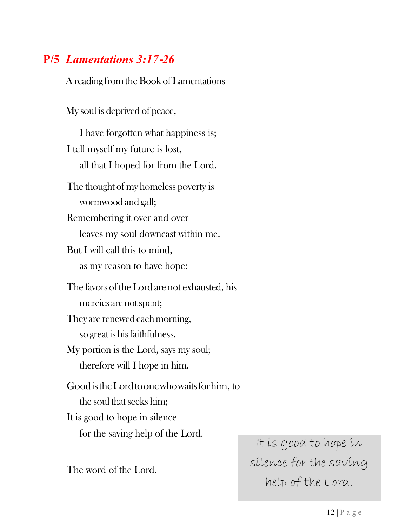## **P/5** *Lamentations 3:17*‐*26*

A reading from the Book of Lamentations

My soul is deprived of peace,

I have forgotten what happiness is; I tell myself my future is lost, all that I hoped for from the Lord. The thought of my homeless poverty is wormwood and gall; Remembering it over and over leaves my soul downcast within me. But I will call this to mind, as my reason to have hope: The favors of the Lord are not exhausted, his mercies are notspent; They are renewed each morning, so great is hisfaithfulness. My portion is the Lord, says my soul; therefore will I hope in him. GoodistheLordtoonewhowaitsforhim, to the soul that seeks him; It is good to hope in silence for the saving help of the Lord.

The word of the Lord.

It is good to hope in silence for the saving help of the Lord.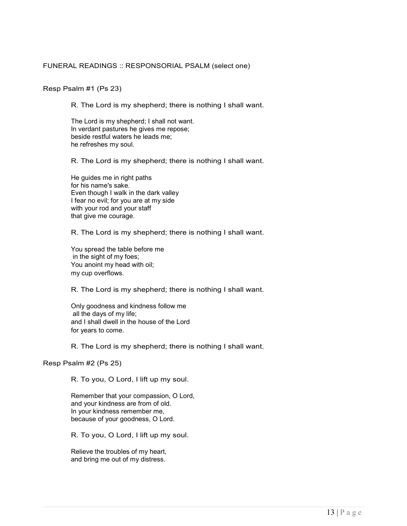### FUNERAL READINGS :: RESPONSORIAL PSALM (select one)

### Resp Psalm #1 (Ps 23)

R. The Lord is my shepherd; there is nothing I shall want.

The Lord is my shepherd; I shall not want. In verdant pastures he gives me repose; beside restful waters he leads me; he refreshes my soul.

R. The Lord is my shepherd; there is nothing I shall want.

He guides me in right paths for his name's sake. Even though I walk in the dark valley I fear no evil; for you are at my side with your rod and your staff that give me courage.

R. The Lord is my shepherd; there is nothing I shall want.

You spread the table before me in the sight of my foes; You anoint my head with oil; my cup overflows.

R. The Lord is my shepherd; there is nothing I shall want.

Only goodness and kindness follow me all the days of my life; and I shall dwell in the house of the Lord for years to come.

R. The Lord is my shepherd; there is nothing I shall want.

### Resp Psalm #2 (Ps 25)

R. To you, O Lord, I lift up my soul.

Remember that your compassion, O Lord, and your kindness are from of old. In your kindness remember me, because of your goodness, O Lord.

R. To you, O Lord, I lift up my soul.

Relieve the troubles of my heart, and bring me out of my distress.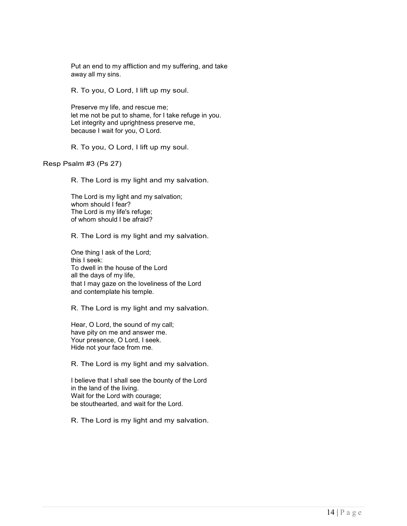Put an end to my affliction and my suffering, and take away all my sins.

R. To you, O Lord, I lift up my soul.

Preserve my life, and rescue me; let me not be put to shame, for I take refuge in you. Let integrity and uprightness preserve me, because I wait for you, O Lord.

R. To you, O Lord, I lift up my soul.

Resp Psalm #3 (Ps 27)

R. The Lord is my light and my salvation.

The Lord is my light and my salvation; whom should I fear? The Lord is my life's refuge; of whom should I be afraid?

R. The Lord is my light and my salvation.

One thing I ask of the Lord; this I seek: To dwell in the house of the Lord all the days of my life, that I may gaze on the loveliness of the Lord and contemplate his temple.

R. The Lord is my light and my salvation.

Hear, O Lord, the sound of my call; have pity on me and answer me. Your presence, O Lord, I seek. Hide not your face from me.

R. The Lord is my light and my salvation.

I believe that I shall see the bounty of the Lord in the land of the living. Wait for the Lord with courage; be stouthearted, and wait for the Lord.

R. The Lord is my light and my salvation.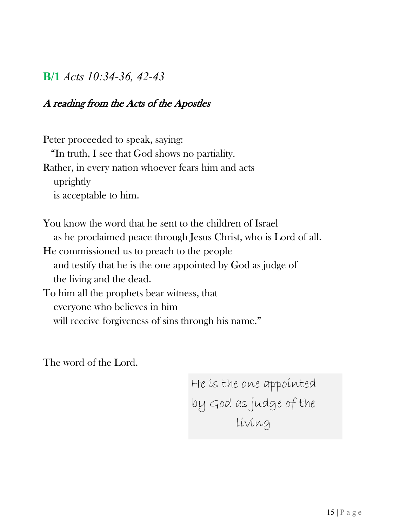### **B/1** *Acts 10:34-36, 42-43*

### A reading from the Acts of the Apostles

Peter proceeded to speak, saying: "In truth, I see that God shows no partiality. Rather, in every nation whoever fears him and acts uprightly is acceptable to him.

You know the word that he sent to the children of Israel as he proclaimed peace through Jesus Christ, who is Lord of all. He commissioned us to preach to the people and testify that he is the one appointed by God as judge of the living and the dead. To him all the prophets bear witness, that everyone who believes in him will receive forgiveness of sins through his name."

The word of the Lord.

 He is the one appointed by God as judge of the living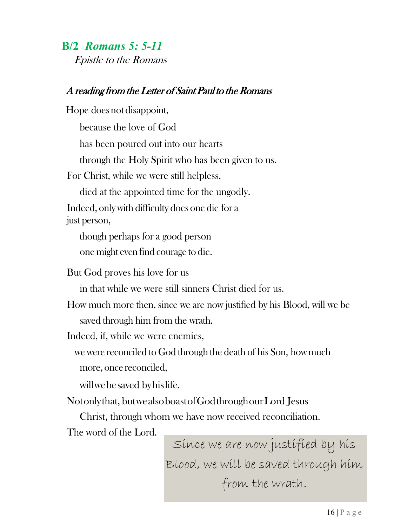## **B/2** *Romans 5: 5-11*

*Epistle to the Romans* 

### A reading from the Letter of Saint Paul to the Romans

Hope does not disappoint, because the love of God has been poured out into our hearts through the Holy Spirit who has been given to us. For Christ, while we were still helpless, died at the appointed time for the ungodly. Indeed, only with difficulty does one die for a just person, though perhaps for a good person one might even find courage to die. But God proves his love for us in that while we were still sinners Christ died for us. How much more then, since we are now justified by his Blood, will we be saved through him from the wrath. Indeed, if, while we were enemies,

we were reconciled to God through the death of his Son, how much more, once reconciled,

willwebesaved byhislife.

Notonlythat, butwealsoboastofGodthroughourLord Jesus

Christ, through whom we have now received reconciliation.

The word of the Lord.

Since we are now justified by his Blood, we will be saved through him from the wrath.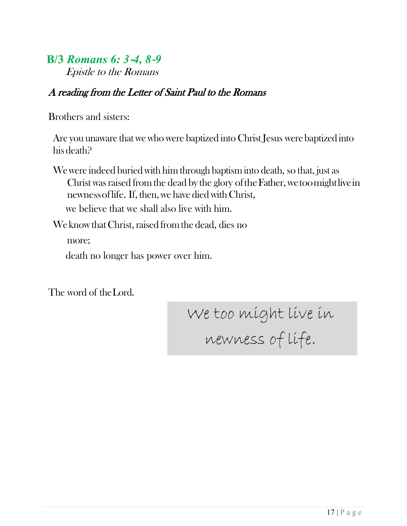### **B/3** *Romans 6: 3*‐*4, 8*‐*9* Epistle to the Romans

### A reading from the Letter of Saint Paul to the Romans

Brothers and sisters:

Are you unaware that we who were baptized into Christ Jesus were baptized into his death?

Wewere indeed buried with him through baptism into death, so that, just as Christ was raised from the dead by the glory of the Father, we too mightlive in newness of life. If, then, we have died with Christ, we believe that we shall also live with him.

We know that Christ, raised from the dead, dies no

more;

death no longer has power over him.

The word of the Lord.

We too might live in newness of life.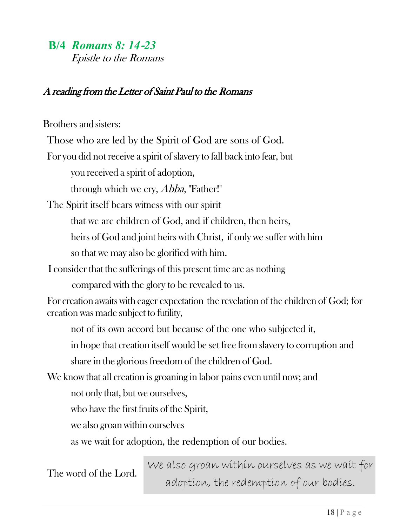### **B/4** *Romans 8: 14*‐*23*

Epistle to the Romans

### A reading from the Letter of Saint Paul to the Romans

Brothers and sisters: Those who are led by the Spirit of God are sons of God. For you did not receive a spirit of slavery to fall back into fear, but you received a spirit of adoption, through which we cry, *Abba*, "Father!" The Spirit itself bears witness with our spirit that we are children of God, and if children, then heirs, heirs of God and joint heirs with Christ, if only we suffer with him so that we may also be glorified with him. I consider that the sufferings of this present time are as nothing compared with the glory to be revealed to us. For creation awaits with eager expectation the revelation of the children of God; for creation was made subject to futility, not of its own accord but because of the one who subjected it, in hope that creation itself would be set free from slavery to corruption and share in the glorious freedom of the children of God. We know that all creation is groaning in labor pains even until now; and not only that, but we ourselves, who have the first fruits of the Spirit, we also groan within ourselves as we wait for adoption, the redemption of our bodies.

We also groan within ourselves as we wait for<br>The word of the Lord. adoption, the redemption of our bodies.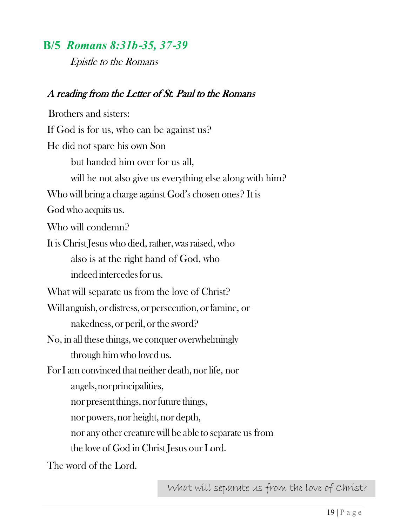## **B/5** *Romans 8:31b*‐*35, 37*‐*39*

Epistle to the Romans

### A reading from the Letter of St. Paul to the Romans

 Brothers and sisters: If God is for us, who can be against us? He did not spare his own Son but handed him over for us all, will he not also give us everything else along with him? Who will bring a charge against God's chosen ones? It is God who acquits us. Who will condemn? It is Christ Jesus who died, rather, was raised, who also is at the right hand of God, who indeed intercedesfor us. What will separate us from the love of Christ? Will anguish, or distress,or persecution, orfamine, or nakedness, or peril, or the sword? No, in all these things, we conquer overwhelmingly through him who loved us. For I am convinced that neither death, nor life, nor angels,norprincipalities, nor present things, nor future things, nor powers, nor height, nor depth, nor any other creaturewill be able to separate us from the love of God in Christ Jesus our Lord.

The word of the Lord.

What will separate us from the love of Christ?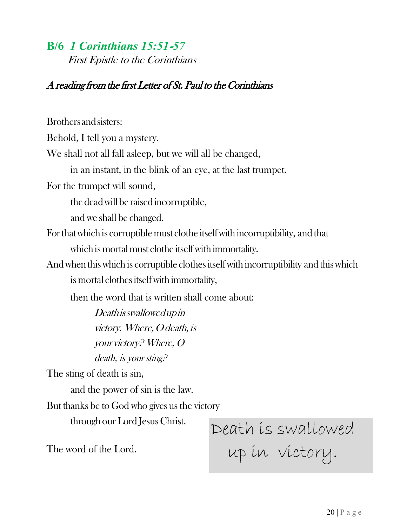### **B/6** *1 Corinthians 15:51*‐*57*

First Epistle to the Corinthians

### A reading from the first Letter of St. Paul to the Corinthians

Brothersandsisters:

Behold, I tell you a mystery.

We shall not all fall asleep, but we will all be changed,

in an instant, in the blink of an eye, at the last trumpet.

For the trumpet will sound,

the dead will be raised incorruptible,

and we shall be changed.

- Forthatwhich is corruptible must clothe itselfwith incorruptibility, and that which is mortal must clothe itself with immortality.
- And when this which is corruptible clothes itself with incorruptibility and this which is mortal clothes itself with immortality,

then the word that is written shall come about:

Deathisswallowedupin victory. Where, O death, is your victory? Where, O death, is your sting?

The sting of death is sin,

and the power of sin is the law.

But thanks be to God who gives us the victory

through our Lord Jesus Christ.

Death is swallowed up in victory.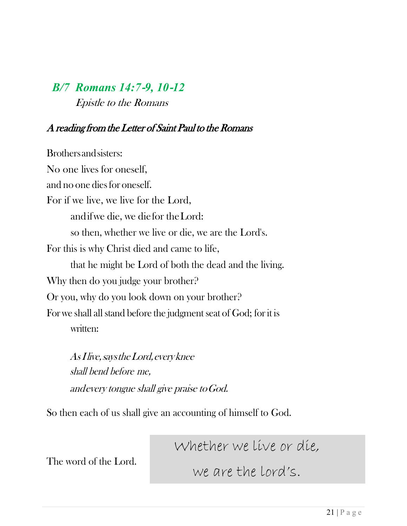## *B/7 Romans 14:7*‐*9, 10*‐*12* Epistle to the Romans

### A reading from the Letter of Saint Paul to the Romans

Brothersandsisters: No one lives for oneself, and no one diesfor oneself. For if we live, we live for the Lord, andifwe die, we diefor theLord: so then, whether we live or die, we are the Lord's. For this is why Christ died and came to life, that he might be Lord of both the dead and the living. Why then do you judge your brother? Or you, why do you look down on your brother? For we shall all stand before the judgment seat of God; for it is written:

AsIlive,saystheLord,everyknee shall bend before me, andevery tongue shall give praise toGod.

So then each of us shall give an accounting of himself to God.

The word of the Lord.

Whether we live or die,

we are the lord's.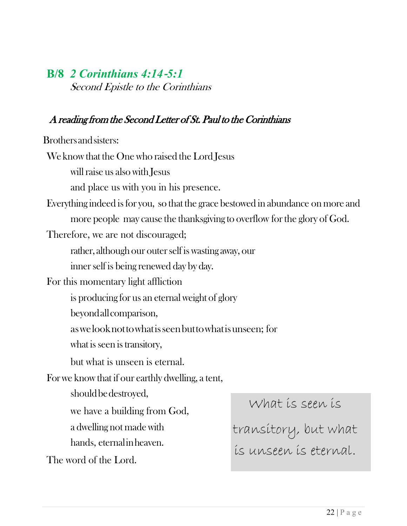### **B/8** *2 Corinthians 4:14*‐*5:1* Second Epistle to the Corinthians

### A reading from the Second Letter of St. Paul to the Corinthians

Brothersandsisters:

We know that the One who raised the Lord Jesus

will raise us also with Jesus

and place us with you in his presence.

Everything indeed is for you, so that the grace bestowed in abundance on more and more people may cause the thanksgiving to overflow forthe glory of God.

Therefore, we are not discouraged;

rather, although our outerself is wasting away, our

inner self is being renewed day by day.

For this momentary light affliction

is producing for us an eternal weight of glory

beyondallcomparison,

aswelooknottowhatisseenbuttowhatisunseen; for

what is seen is transitory,

but what is unseen is eternal.

Forwe know that if our earthly dwelling, a tent,

should be destroyed,

we have a building from God,

a dwelling not made with

hands, eternalinheaven.

The word of the Lord.

What is seen is

transitory, but what is unseen is eternal.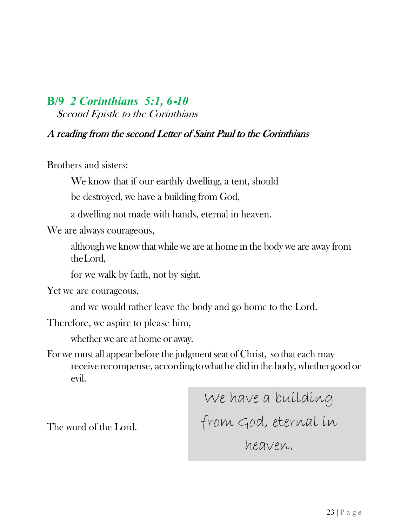# **B/9** *2 Corinthians 5:1, 6*‐*10*

Second Epistle to the Corinthians

### A reading from the second Letter of Saint Paul to the Corinthians

Brothers and sisters:

We know that if our earthly dwelling, a tent, should

be destroyed, we have a building from God,

a dwelling not made with hands, eternal in heaven.

We are always courageous,

although we know that while we are at home in the body we are away from theLord,

for we walk by faith, not by sight.

Yet we are courageous,

and we would rather leave the body and go home to the Lord.

Therefore, we aspire to please him,

whether we are at home or away.

For we must all appear before the judgment seat of Christ, so that each may receive recompense, according to what he did in the body, whether good or evil.

> We have a building from God, eternal in heaven.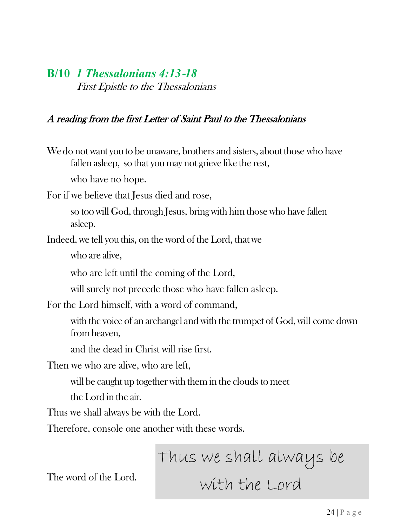### **B/10** *1 Thessalonians 4:13*‐*18* First Epistle to the Thessalonians

### A reading from the first Letter of Saint Paul to the Thessalonians

We do not want you to be unaware, brothers and sisters, about those who have fallen asleep, so that you may not grieve like the rest,

who have no hope.

For if we believe that Jesus died and rose,

so too will God, through Jesus, bring with him those who have fallen asleep.

Indeed, we tell you this, on the word of the Lord, that we

who are alive,

who are left until the coming of the Lord,

will surely not precede those who have fallen asleep.

For the Lord himself, with a word of command,

with the voice of an archangel and with the trumpet of God, will come down from heaven,

and the dead in Christ will rise first.

Then we who are alive, who are left,

will be caught up together with them in the clouds to meet

the Lord in the air.

Thus we shall always be with the Lord.

Therefore, console one another with these words.

Thus we shall always be with the Lord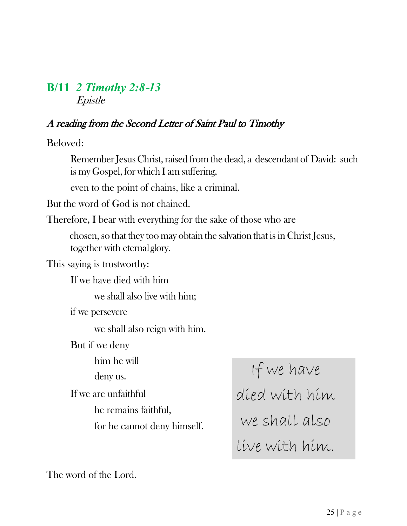### **B/11** *2 Timothy 2:8*‐*13* Epistle

### A reading from the Second Letter of Saint Paul to Timothy

Beloved:

Remember Jesus Christ, raised from the dead, a descendant of David: such is my Gospel, for which I am suffering,

even to the point of chains, like a criminal.

But the word of God is not chained.

Therefore, I bear with everything for the sake of those who are

chosen, so that they too may obtain the salvation that is in Christ Jesus, together with eternalglory.

This saying is trustworthy:

If we have died with him

we shall also live with him;

if we persevere

we shall also reign with him.

But if we deny

him he will deny us.

If we are unfaithful he remains faithful,

for he cannot deny himself.

If we have died with him we shall also live with him.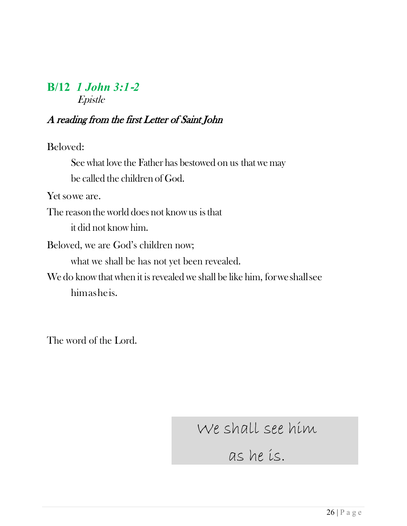### **B/12** *1 John 3:1*‐*2* Epistle

### A reading from the first Letter of Saint John

Beloved:

See what love the Father has bestowed on us that we may be called the children of God.

Yet sowe are.

The reason the world does not know us isthat it did not know him.

Beloved, we are God's children now;

what we shall be has not yet been revealed.

We do know that when it is revealed we shall be like him, for we shall see himasheis.

The word of the Lord.

We shall see him

as he is.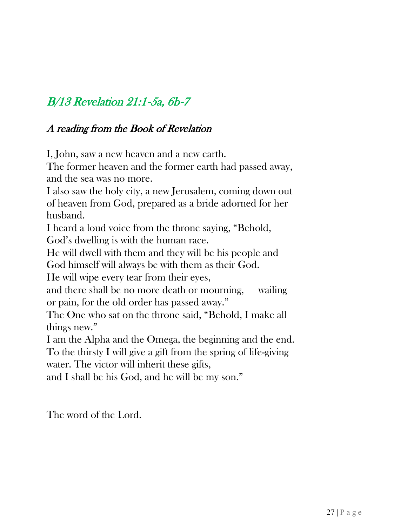## B/13 Revelation 21:1‐5a, 6b‐7

### A reading from the Book of Revelation

I, John, saw a new heaven and a new earth.

The former heaven and the former earth had passed away, and the sea was no more.

I also saw the holy city, a new Jerusalem, coming down out of heaven from God, prepared as a bride adorned for her husband.

I heard a loud voice from the throne saying, "Behold, God's dwelling is with the human race.

He will dwell with them and they will be his people and

God himself will always be with them as their God.

He will wipe every tear from their eyes,

and there shall be no more death or mourning, wailing or pain, for the old order has passed away."

The One who sat on the throne said, "Behold, I make all things new."

I am the Alpha and the Omega, the beginning and the end.

To the thirsty I will give a gift from the spring of life-giving water. The victor will inherit these gifts,

and I shall be his God, and he will be my son."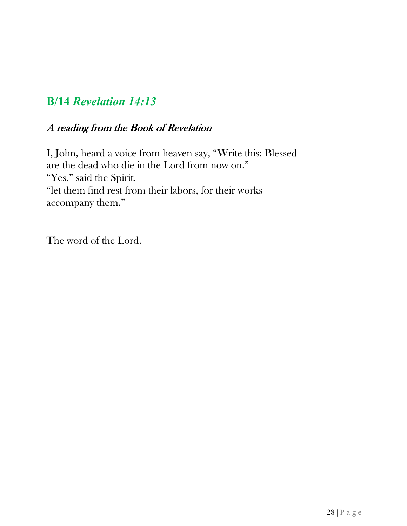## **B/14** *Revelation 14:13*

### A reading from the Book of Revelation

I, John, heard a voice from heaven say, "Write this: Blessed are the dead who die in the Lord from now on." "Yes," said the Spirit, "let them find rest from their labors, for their works accompany them."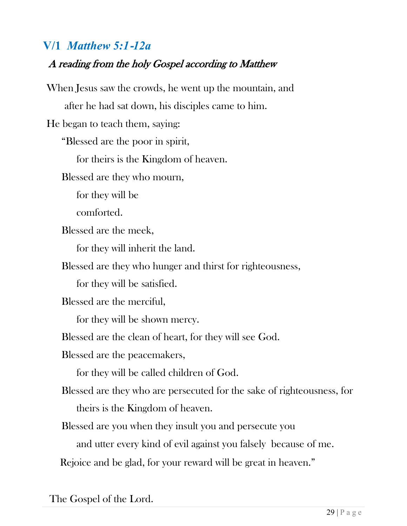## **V/1** *Matthew 5:1*‐*12a*

### A reading from the holy Gospel according to Matthew

When Jesus saw the crowds, he went up the mountain, and after he had sat down, his disciples came to him. He began to teach them, saying: "Blessed are the poor in spirit, for theirs is the Kingdom of heaven. Blessed are they who mourn, for they will be comforted. Blessed are the meek, for they will inherit the land. Blessed are they who hunger and thirst for righteousness, for they will be satisfied. Blessed are the merciful, for they will be shown mercy. Blessed are the clean of heart, for they will see God. Blessed are the peacemakers, for they will be called children of God. Blessed are they who are persecuted for the sake of righteousness, for theirs is the Kingdom of heaven. Blessed are you when they insult you and persecute you and utter every kind of evil against you falsely because of me. Rejoice and be glad, for your reward will be great in heaven."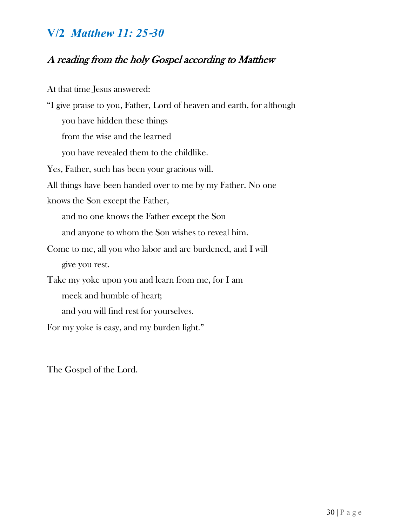## **V/2** *Matthew 11: 25*‐*30*

## A reading from the holy Gospel according to Matthew

| At that time Jesus answered:                                          |  |  |
|-----------------------------------------------------------------------|--|--|
| "I give praise to you, Father, Lord of heaven and earth, for although |  |  |
| you have hidden these things                                          |  |  |
| from the wise and the learned                                         |  |  |
| you have revealed them to the childlike.                              |  |  |
| Yes, Father, such has been your gracious will.                        |  |  |
| All things have been handed over to me by my Father. No one           |  |  |
| knows the Son except the Father,                                      |  |  |
| and no one knows the Father except the Son                            |  |  |
| and anyone to whom the Son wishes to reveal him.                      |  |  |
| Come to me, all you who labor and are burdened, and I will            |  |  |
| give you rest.                                                        |  |  |
| Take my yoke upon you and learn from me, for I am                     |  |  |
| meek and humble of heart;                                             |  |  |
| and you will find rest for yourselves.                                |  |  |
| For my yoke is easy, and my burden light."                            |  |  |
|                                                                       |  |  |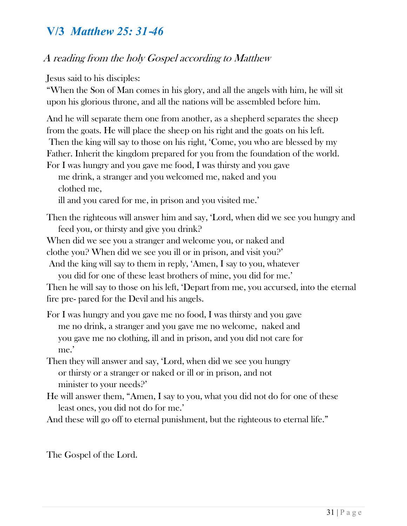## **V/3** *Matthew 25: 31*‐*46*

### A reading from the holy Gospel according to Matthew

Jesus said to his disciples:

"When the Son of Man comes in his glory, and all the angels with him, he will sit upon his glorious throne, and all the nations will be assembled before him.

And he will separate them one from another, as a shepherd separates the sheep from the goats. He will place the sheep on his right and the goats on his left. Then the king will say to those on his right, 'Come, you who are blessed by my Father. Inherit the kingdom prepared for you from the foundation of the world.

For I was hungry and you gave me food, I was thirsty and you gave me drink, a stranger and you welcomed me, naked and you clothed me,

ill and you cared for me, in prison and you visited me.'

- Then the righteous will answer him and say, 'Lord, when did we see you hungry and feed you, or thirsty and give you drink?
- When did we see you a stranger and welcome you, or naked and

clothe you? When did we see you ill or in prison, and visit you?'

And the king will say to them in reply, 'Amen, I say to you, whatever you did for one of these least brothers of mine, you did for me.'

Then he will say to those on his left, 'Depart from me, you accursed, into the eternal fire pre- pared for the Devil and his angels.

For I was hungry and you gave me no food, I was thirsty and you gave me no drink, a stranger and you gave me no welcome, naked and you gave me no clothing, ill and in prison, and you did not care for me.'

- Then they will answer and say, 'Lord, when did we see you hungry or thirsty or a stranger or naked or ill or in prison, and not minister to your needs?'
- He will answer them, "Amen, I say to you, what you did not do for one of these least ones, you did not do for me.'
- And these will go off to eternal punishment, but the righteous to eternal life."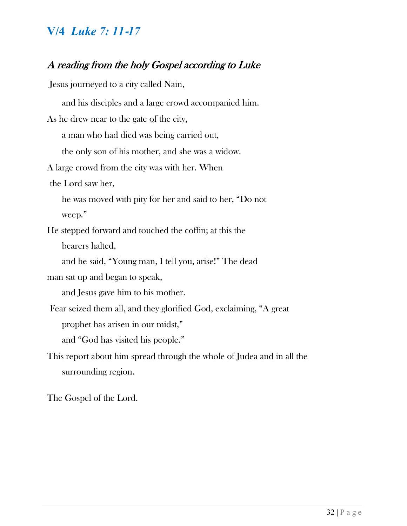### **V/4** *Luke 7: 11*‐*17*

### A reading from the holy Gospel according to Luke

Jesus journeyed to a city called Nain,

and his disciples and a large crowd accompanied him. As he drew near to the gate of the city, a man who had died was being carried out, the only son of his mother, and she was a widow. A large crowd from the city was with her. When the Lord saw her, he was moved with pity for her and said to her, "Do not weep." He stepped forward and touched the coffin; at this the bearers halted, and he said, "Young man, I tell you, arise!" The dead man sat up and began to speak, and Jesus gave him to his mother. Fear seized them all, and they glorified God, exclaiming, "A great prophet has arisen in our midst," and "God has visited his people." This report about him spread through the whole of Judea and in all the surrounding region.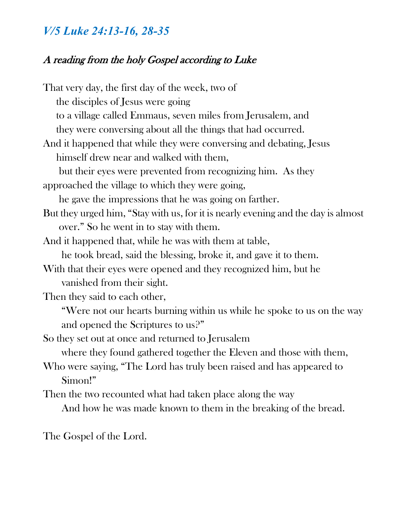## *V/5 Luke 24:13-16, 28-35*

### A reading from the holy Gospel according to Luke

That very day, the first day of the week, two of the disciples of Jesus were going to a village called Emmaus, seven miles from Jerusalem, and they were conversing about all the things that had occurred. And it happened that while they were conversing and debating, Jesus himself drew near and walked with them, but their eyes were prevented from recognizing him. As they approached the village to which they were going, he gave the impressions that he was going on farther. But they urged him, "Stay with us, for it is nearly evening and the day is almost over." So he went in to stay with them. And it happened that, while he was with them at table, he took bread, said the blessing, broke it, and gave it to them. With that their eyes were opened and they recognized him, but he vanished from their sight. Then they said to each other, "Were not our hearts burning within us while he spoke to us on the way and opened the Scriptures to us?" So they set out at once and returned to Jerusalem where they found gathered together the Eleven and those with them, Who were saying, "The Lord has truly been raised and has appeared to Simon!" Then the two recounted what had taken place along the way And how he was made known to them in the breaking of the bread.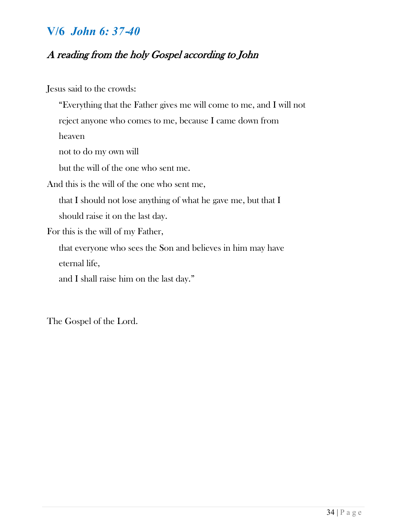### **V/6** *John 6: 37*‐*40*

### A reading from the holy Gospel according to John

Jesus said to the crowds:

"Everything that the Father gives me will come to me, and I will not reject anyone who comes to me, because I came down from heaven not to do my own will but the will of the one who sent me.

And this is the will of the one who sent me,

that I should not lose anything of what he gave me, but that I should raise it on the last day.

For this is the will of my Father,

that everyone who sees the Son and believes in him may have eternal life,

and I shall raise him on the last day."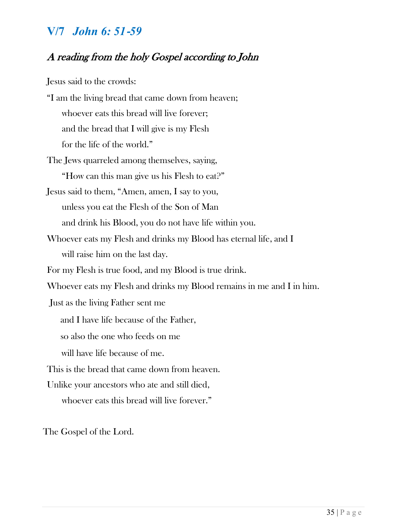### **V/7** *John 6: 51*‐*59*

### A reading from the holy Gospel according to John

Jesus said to the crowds:

- "I am the living bread that came down from heaven; whoever eats this bread will live forever; and the bread that I will give is my Flesh for the life of the world."
- The Jews quarreled among themselves, saying, "How can this man give us his Flesh to eat?"
- Jesus said to them, "Amen, amen, I say to you, unless you eat the Flesh of the Son of Man and drink his Blood, you do not have life within you.
- Whoever eats my Flesh and drinks my Blood has eternal life, and I will raise him on the last day.
- For my Flesh is true food, and my Blood is true drink.
- Whoever eats my Flesh and drinks my Blood remains in me and I in him.

Just as the living Father sent me

- and I have life because of the Father,
- so also the one who feeds on me
- will have life because of me.
- This is the bread that came down from heaven.
- Unlike your ancestors who ate and still died, whoever eats this bread will live forever."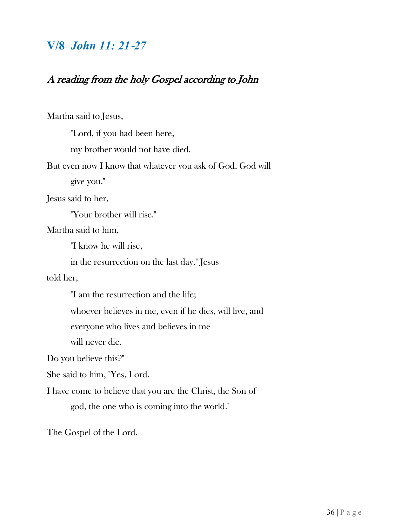## **V/8** *John 11: 21*‐*27*

### A reading from the holy Gospel according to John

Martha said to Jesus,

"Lord, if you had been here,

my brother would not have died.

But even now I know that whatever you ask of God, God will

give you."

Jesus said to her,

"Your brother will rise."

Martha said to him,

"I know he will rise,

in the resurrection on the last day." Jesus

told her,

"I am the resurrection and the life;

whoever believes in me, even if he dies, will live, and

everyone who lives and believes in me

will never die.

Do you believe this?"

She said to him, "Yes, Lord.

I have come to believe that you are the Christ, the Son of god, the one who is coming into the world."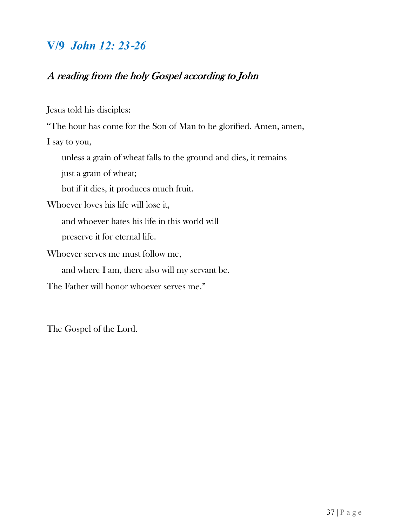## **V/9** *John 12: 23*‐*26*

### A reading from the holy Gospel according to John

Jesus told his disciples:

"The hour has come for the Son of Man to be glorified. Amen, amen,

I say to you,

unless a grain of wheat falls to the ground and dies, it remains

just a grain of wheat;

but if it dies, it produces much fruit.

Whoever loves his life will lose it,

and whoever hates his life in this world will

preserve it for eternal life.

Whoever serves me must follow me, and where I am, there also will my servant be.

The Father will honor whoever serves me."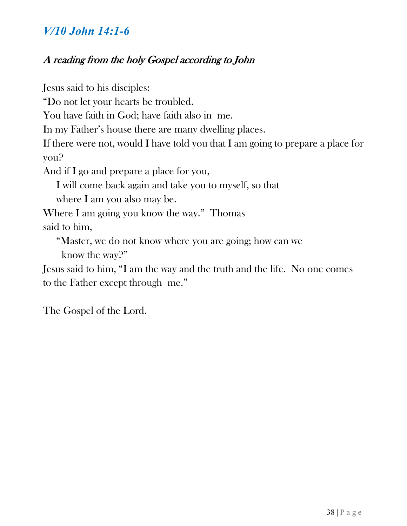## *V/10 John 14:1-6*

### A reading from the holy Gospel according to John

Jesus said to his disciples: "Do not let your hearts be troubled. You have faith in God; have faith also in me. In my Father's house there are many dwelling places. If there were not, would I have told you that I am going to prepare a place for you? And if I go and prepare a place for you, I will come back again and take you to myself, so that where I am you also may be. Where I am going you know the way." Thomas said to him, "Master, we do not know where you are going; how can we

know the way?"

Jesus said to him, "I am the way and the truth and the life. No one comes to the Father except through me."